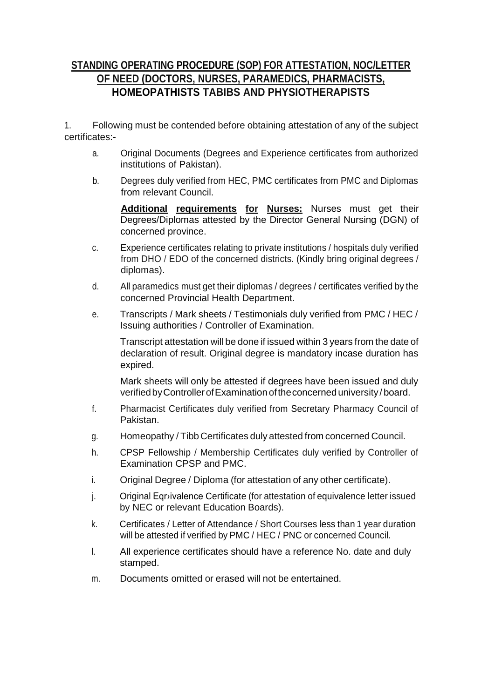# **STANDING OPERATING PROCEDURE (SOP) FOR ATTESTATION, NOC/LETTER OF NEED (DOCTORS, NURSES, PARAMEDICS, PHARMACISTS, HOMEOPATHISTS TABIBS AND PHYSIOTHERAPISTS**

1. Following must be contended before obtaining attestation of any of the subject certificates:-

- a. Original Documents (Degrees and Experience certificates from authorized institutions of Pakistan).
- b. Degrees duly verified from HEC, PMC certificates from PMC and Diplomas from relevant Council.

**Additional requirements for Nurses:** Nurses must get their Degrees/Diplomas attested by the Director General Nursing (DGN) of concerned province.

- c. Experience certificates relating to private institutions / hospitals duly verified from DHO / EDO of the concerned districts. (Kindly bring original degrees / diplomas).
- d. All paramedics must get their diplomas / degrees / certificates verified by the concerned Provincial Health Department.
- e. Transcripts / Mark sheets / Testimonials duly verified from PMC / HEC / Issuing authorities / Controller of Examination.

Transcript attestation will be done if issued within 3 years from the date of declaration of result. Original degree is mandatory incase duration has expired.

Mark sheets will only be attested if degrees have been issued and duly verified by Controller of Examination of the concerned university / board.

- f. Pharmacist Certificates duly verified from Secretary Pharmacy Council of Pakistan.
- g. Homeopathy / Tibb Certificates duly attested from concerned Council.
- h. CPSP Fellowship / Membership Certificates duly verified by Controller of Examination CPSP and PMC.
- i. Original Degree / Diploma (for attestation of any other certificate).
- j. Original Eqr›ivalence Certificate (for attestation of equivalence letter issued by NEC or relevant Education Boards).
- k. Certificates / Letter of Attendance / Short Courses less than 1 year duration will be attested if verified by PMC / HEC / PNC or concerned Council.
- l. All experience certificates should have a reference No. date and duly stamped.
- m. Documents omitted or erased will not be entertained.